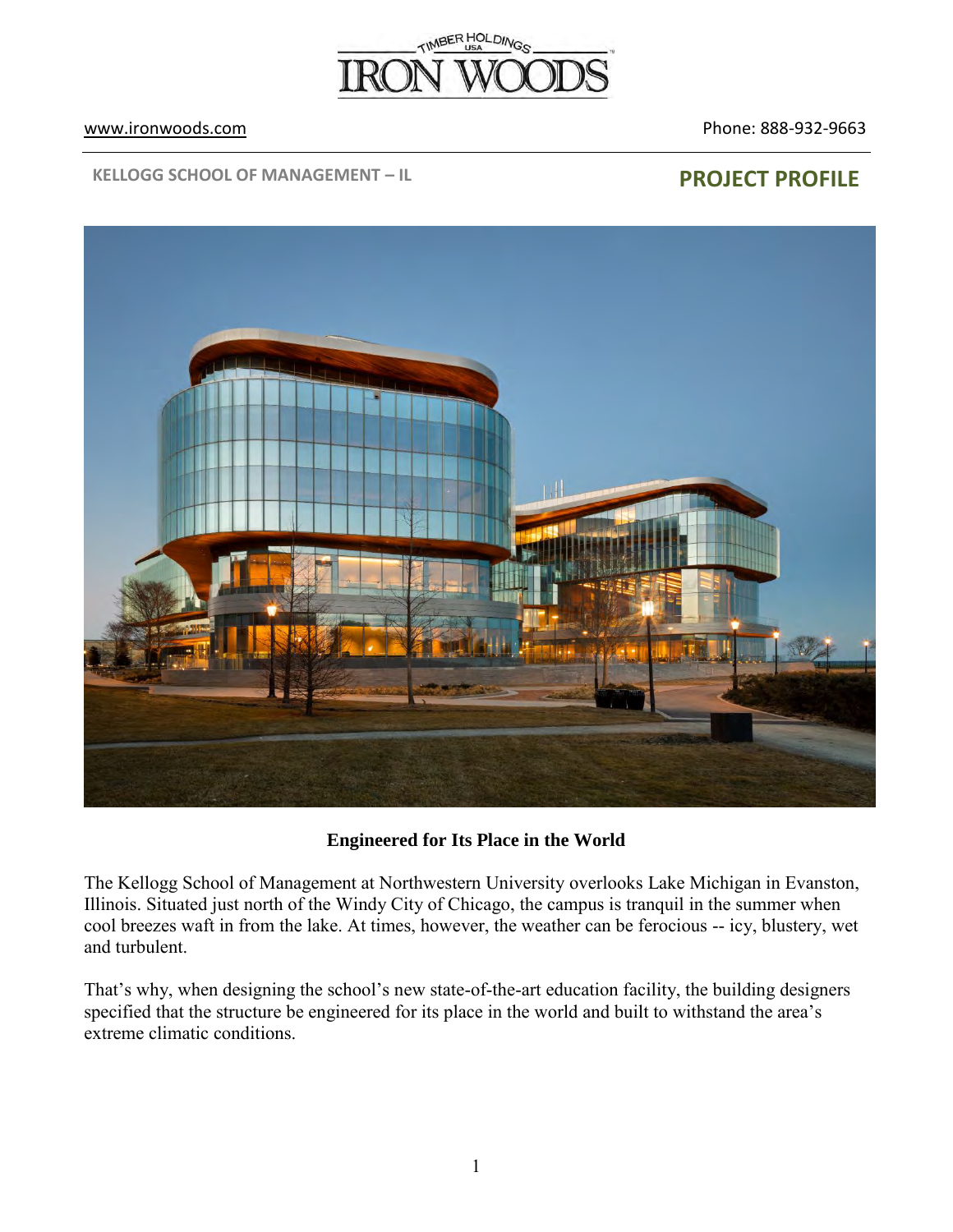

[www.ironwoods.com](http://www.ironwoods.com/) Phone: 888-932-9663

# **KELLOGG SCHOOL OF MANAGEMENT – IL PROJECT PROFILE**



## **Engineered for Its Place in the World**

The Kellogg School of Management at Northwestern University overlooks Lake Michigan in Evanston, Illinois. Situated just north of the Windy City of Chicago, the campus is tranquil in the summer when cool breezes waft in from the lake. At times, however, the weather can be ferocious -- icy, blustery, wet and turbulent.

That's why, when designing the school's new state-of-the-art education facility, the building designers specified that the structure be engineered for its place in the world and built to withstand the area's extreme climatic conditions.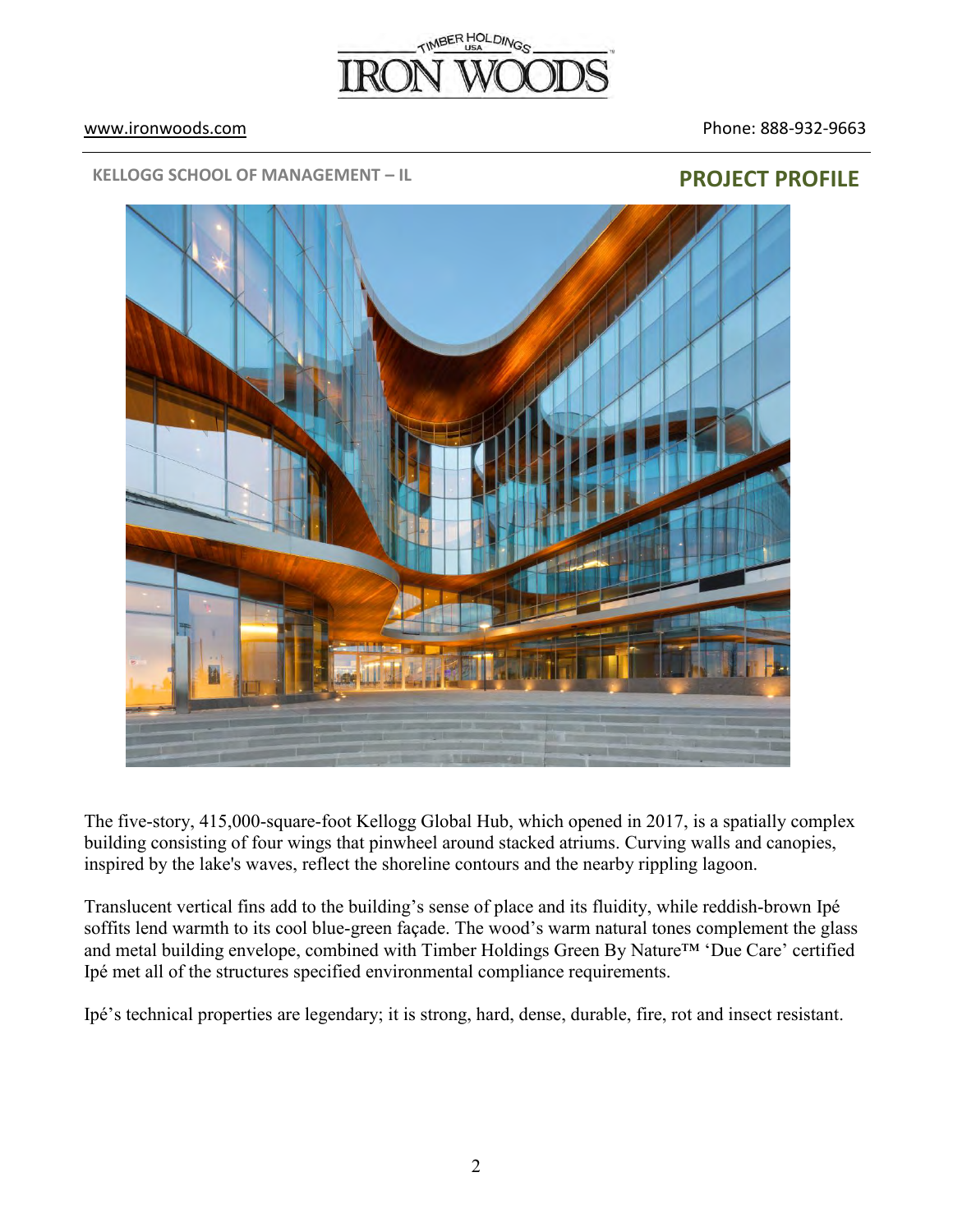

### [www.ironwoods.com](http://www.ironwoods.com/) Phone: 888-932-9663

**KELLOGG SCHOOL OF MANAGEMENT – IL PROJECT PROFILE**



The five-story, 415,000-square-foot Kellogg Global Hub, which opened in 2017, is a spatially complex building consisting of four wings that pinwheel around stacked atriums. Curving walls and canopies, inspired by the lake's waves, reflect the shoreline contours and the nearby rippling lagoon.

Translucent vertical fins add to the building's sense of place and its fluidity, while reddish-brown Ipé soffits lend warmth to its cool blue-green façade. The wood's warm natural tones complement the glass and metal building envelope, combined with Timber Holdings Green By Nature™ 'Due Care' certified Ipé met all of the structures specified environmental compliance requirements.

Ipé's technical properties are legendary; it is strong, hard, dense, durable, fire, rot and insect resistant.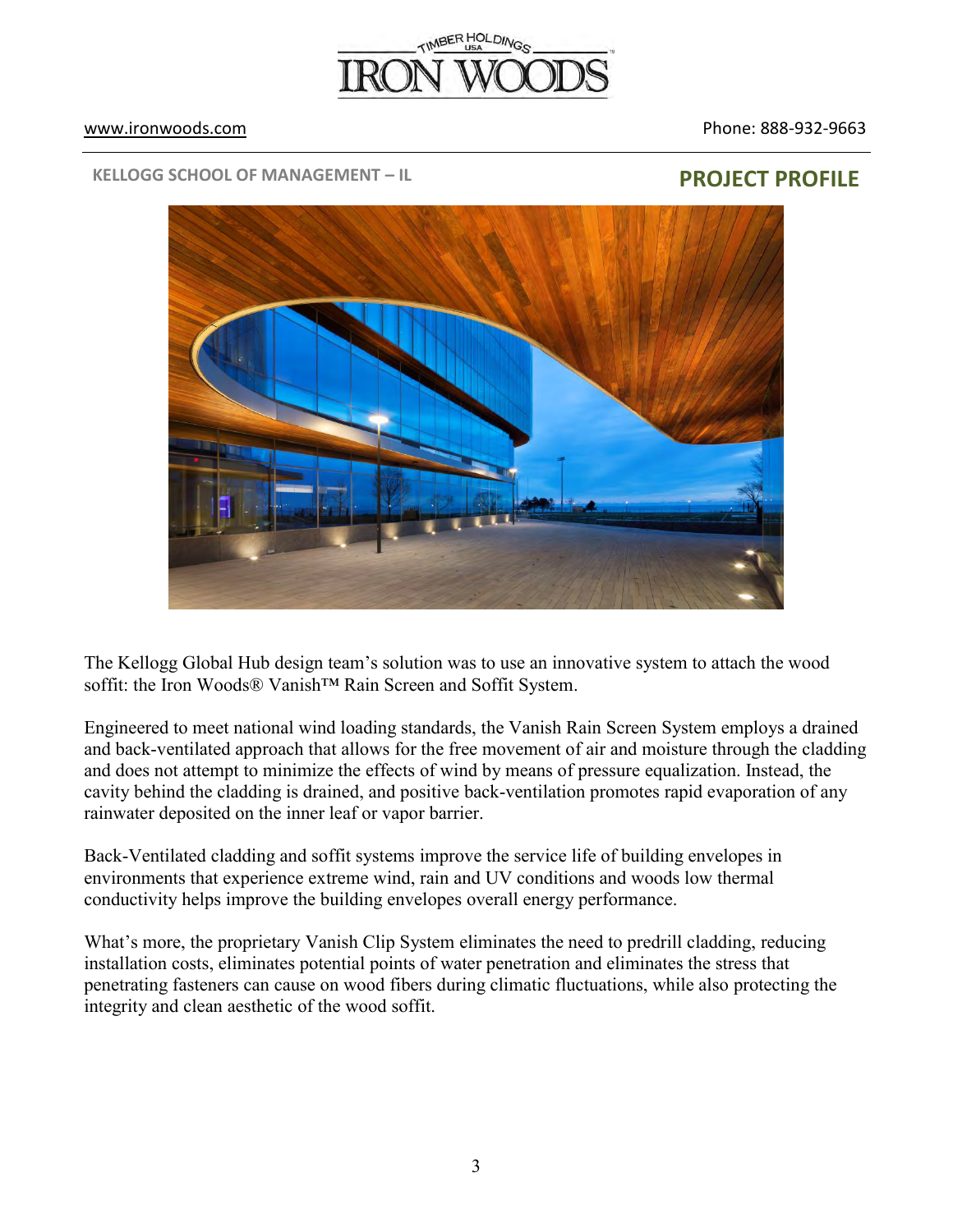

### [www.ironwoods.com](http://www.ironwoods.com/) example and the example of the example of Phone: 888-932-9663

**KELLOGG SCHOOL OF MANAGEMENT – IL PROJECT PROFILE**



The Kellogg Global Hub design team's solution was to use an innovative system to attach the wood soffit: the Iron Woods® Vanish™ Rain Screen and Soffit System.

Engineered to meet national wind loading standards, the Vanish Rain Screen System employs a drained and back-ventilated approach that allows for the free movement of air and moisture through the cladding and does not attempt to minimize the effects of wind by means of pressure equalization. Instead, the cavity behind the cladding is drained, and positive back-ventilation promotes rapid evaporation of any rainwater deposited on the inner leaf or vapor barrier.

Back-Ventilated cladding and soffit systems improve the service life of building envelopes in environments that experience extreme wind, rain and UV conditions and woods low thermal conductivity helps improve the building envelopes overall energy performance.

What's more, the proprietary Vanish Clip System eliminates the need to predrill cladding, reducing installation costs, eliminates potential points of water penetration and eliminates the stress that penetrating fasteners can cause on wood fibers during climatic fluctuations, while also protecting the integrity and clean aesthetic of the wood soffit.